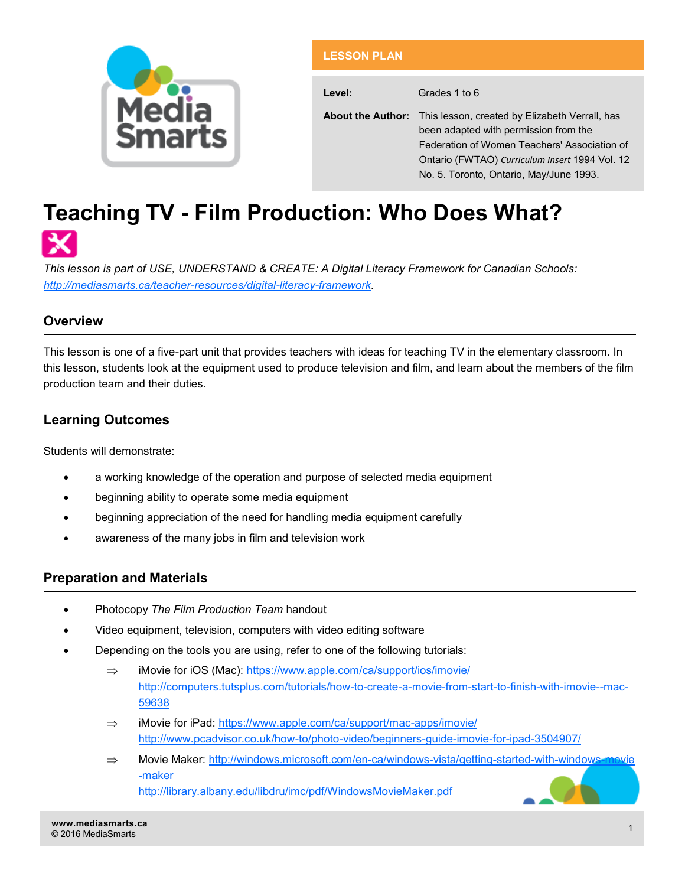

**LESSON PLAN**

**Level:** Grades 1 to 6

**About the Author:** This lesson, created by Elizabeth Verrall, has been adapted with permission from the Federation of Women Teachers' Association of Ontario (FWTAO) *Curriculum Insert* 1994 Vol. 12 No. 5. Toronto, Ontario, May/June 1993.

# **Teaching TV - Film Production: Who Does What?**

*This lesson is part of USE, UNDERSTAND & CREATE: A Digital Literacy Framework for Canadian Schools: [http://mediasmarts.ca/teacher](http://mediasmarts.ca/teacher-resources/digital-literacy-framework)-resources/digital-literacy-framework.*

## **Overview**

This lesson is one of a five-part unit that provides teachers with ideas for teaching TV in the elementary classroom. In this lesson, students look at the equipment used to produce television and film, and learn about the members of the film production team and their duties.

# **Learning Outcomes**

Students will demonstrate:

- a working knowledge of the operation and purpose of selected media equipment
- beginning ability to operate some media equipment
- beginning appreciation of the need for handling media equipment carefully
- awareness of the many jobs in film and television work

## **Preparation and Materials**

- Photocopy *The Film Production Team* handout
- Video equipment, television, computers with video editing software
- Depending on the tools you are using, refer to one of the following tutorials:
	- $\Rightarrow$  iMovie for iOS (Mac):<https://www.apple.com/ca/support/ios/imovie/> [http://computers.tutsplus.com/tutorials/how](http://computers.tutsplus.com/tutorials/how-to-create-a-movie-from-start-to-finish-with-imovie--mac-59638)-to-create-a-movie-from-start-to-finish-with-imovie--mac-[59638](http://computers.tutsplus.com/tutorials/how-to-create-a-movie-from-start-to-finish-with-imovie--mac-59638)
	- $\Rightarrow$  iMovie for iPad: [https://www.apple.com/ca/support/mac](https://www.apple.com/ca/support/mac-apps/imovie/)-apps/imovie/ [http://www.pcadvisor.co.uk/how](http://www.pcadvisor.co.uk/how-to/photo-video/beginners-guide-imovie-for-ipad-3504907/)-to/photo-video/beginners-guide-imovie-for-ipad-3504907/
	- $\Rightarrow$  Movie Maker: [http://windows.microsoft.com/en](http://windows.microsoft.com/en-ca/windows-vista/getting-started-with-windows-movie-maker)-ca/windows-vista/getting-started-with-windows--[maker](http://windows.microsoft.com/en-ca/windows-vista/getting-started-with-windows-movie-maker) <http://library.albany.edu/libdru/imc/pdf/WindowsMovieMaker.pdf>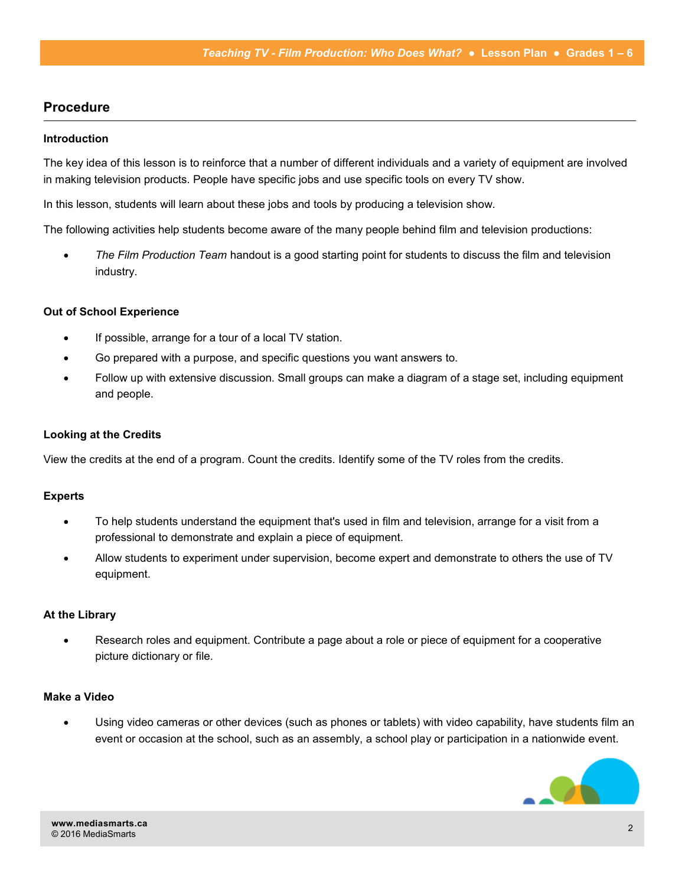### **Procedure**

#### **Introduction**

The key idea of this lesson is to reinforce that a number of different individuals and a variety of equipment are involved in making television products. People have specific jobs and use specific tools on every TV show.

In this lesson, students will learn about these jobs and tools by producing a television show.

The following activities help students become aware of the many people behind film and television productions:

 *The Film Production Team* handout is a good starting point for students to discuss the film and television industry.

#### **Out of School Experience**

- If possible, arrange for a tour of a local TV station.
- Go prepared with a purpose, and specific questions you want answers to.
- Follow up with extensive discussion. Small groups can make a diagram of a stage set, including equipment and people.

#### **Looking at the Credits**

View the credits at the end of a program. Count the credits. Identify some of the TV roles from the credits.

#### **Experts**

- To help students understand the equipment that's used in film and television, arrange for a visit from a professional to demonstrate and explain a piece of equipment.
- Allow students to experiment under supervision, become expert and demonstrate to others the use of TV equipment.

#### **At the Library**

 Research roles and equipment. Contribute a page about a role or piece of equipment for a cooperative picture dictionary or file.

#### **Make a Video**

 Using video cameras or other devices (such as phones or tablets) with video capability, have students film an event or occasion at the school, such as an assembly, a school play or participation in a nationwide event.

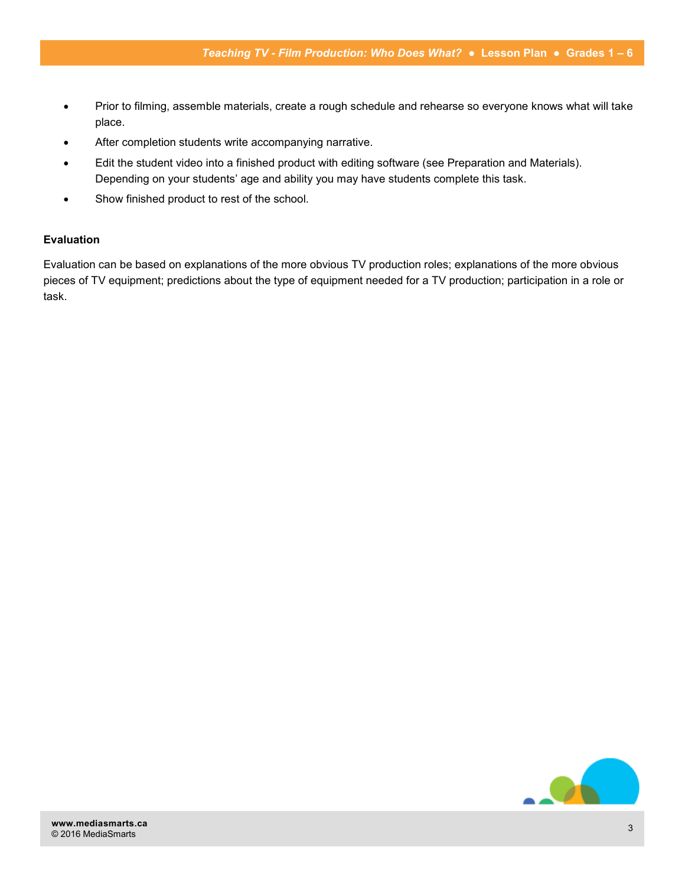- Prior to filming, assemble materials, create a rough schedule and rehearse so everyone knows what will take place.
- After completion students write accompanying narrative.
- Edit the student video into a finished product with editing software (see Preparation and Materials). Depending on your students' age and ability you may have students complete this task.
- Show finished product to rest of the school.

#### **Evaluation**

Evaluation can be based on explanations of the more obvious TV production roles; explanations of the more obvious pieces of TV equipment; predictions about the type of equipment needed for a TV production; participation in a role or task.

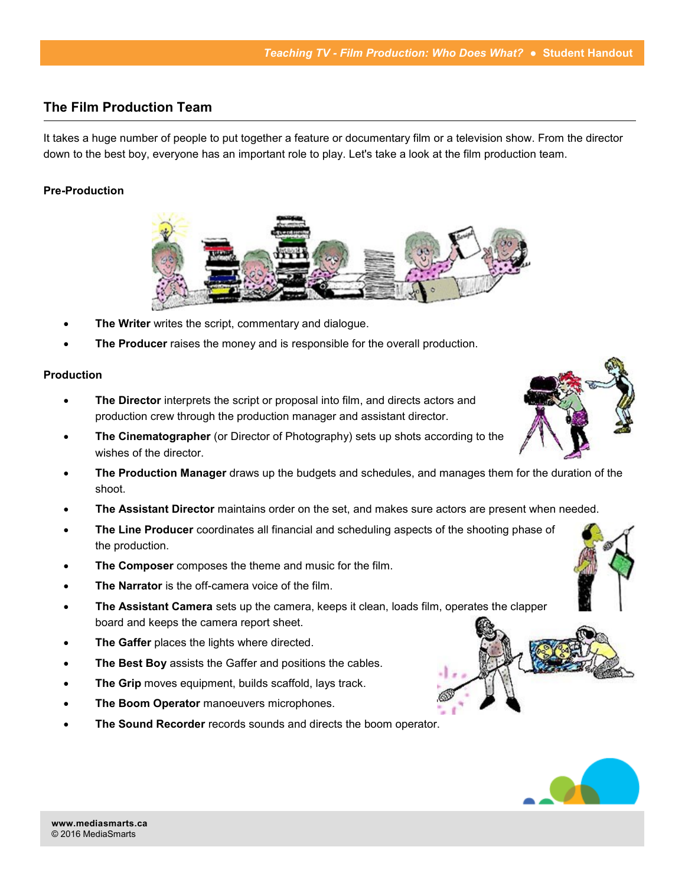## **The Film Production Team**

It takes a huge number of people to put together a feature or documentary film or a television show. From the director down to the best boy, everyone has an important role to play. Let's take a look at the film production team.

#### **Pre-Production**



- **The Writer** writes the script, commentary and dialogue.
- **The Producer** raises the money and is responsible for the overall production.

#### **Production**

- **The Director** interprets the script or proposal into film, and directs actors and production crew through the production manager and assistant director.
- **The Cinematographer** (or Director of Photography) sets up shots according to the wishes of the director
- **The Production Manager** draws up the budgets and schedules, and manages them for the duration of the shoot.
- **The Assistant Director** maintains order on the set, and makes sure actors are present when needed.
- **The Line Producer** coordinates all financial and scheduling aspects of the shooting phase of the production.
- **The Composer** composes the theme and music for the film.
- **The Narrator** is the off-camera voice of the film.
- **The Assistant Camera** sets up the camera, keeps it clean, loads film, operates the clapper board and keeps the camera report sheet.
- **The Gaffer** places the lights where directed.
- **The Best Boy** assists the Gaffer and positions the cables.
- **The Grip** moves equipment, builds scaffold, lays track.
- **The Boom Operator** manoeuvers microphones.
- **The Sound Recorder** records sounds and directs the boom operator.